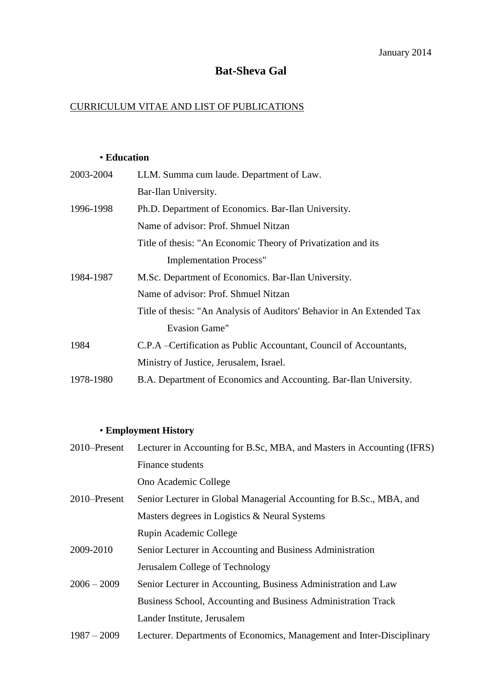# **Bat-Sheva Gal**

## CURRICULUM VITAE AND LIST OF PUBLICATIONS

### • **Education**

| 2003-2004 | LLM. Summa cum laude. Department of Law.                               |
|-----------|------------------------------------------------------------------------|
|           | Bar-Ilan University.                                                   |
| 1996-1998 | Ph.D. Department of Economics. Bar-Ilan University.                    |
|           | Name of advisor: Prof. Shmuel Nitzan                                   |
|           | Title of thesis: "An Economic Theory of Privatization and its          |
|           | <b>Implementation Process"</b>                                         |
| 1984-1987 | M.Sc. Department of Economics. Bar-Ilan University.                    |
|           | Name of advisor: Prof. Shmuel Nitzan                                   |
|           | Title of thesis: "An Analysis of Auditors' Behavior in An Extended Tax |
|           | <b>Evasion Game"</b>                                                   |
| 1984      | C.P.A –Certification as Public Accountant, Council of Accountants,     |
|           | Ministry of Justice, Jerusalem, Israel.                                |
| 1978-1980 | B.A. Department of Economics and Accounting. Bar-Ilan University.      |

## • **Employment History**

| $2010$ –Present | Lecturer in Accounting for B.Sc, MBA, and Masters in Accounting (IFRS) |
|-----------------|------------------------------------------------------------------------|
|                 | Finance students                                                       |
|                 | Ono Academic College                                                   |
| 2010–Present    | Senior Lecturer in Global Managerial Accounting for B.Sc., MBA, and    |
|                 | Masters degrees in Logistics & Neural Systems                          |
|                 | Rupin Academic College                                                 |
| 2009-2010       | Senior Lecturer in Accounting and Business Administration              |
|                 | Jerusalem College of Technology                                        |
| $2006 - 2009$   | Senior Lecturer in Accounting, Business Administration and Law         |
|                 | Business School, Accounting and Business Administration Track          |
|                 | Lander Institute, Jerusalem                                            |
| $1987 - 2009$   | Lecturer. Departments of Economics, Management and Inter-Disciplinary  |
|                 |                                                                        |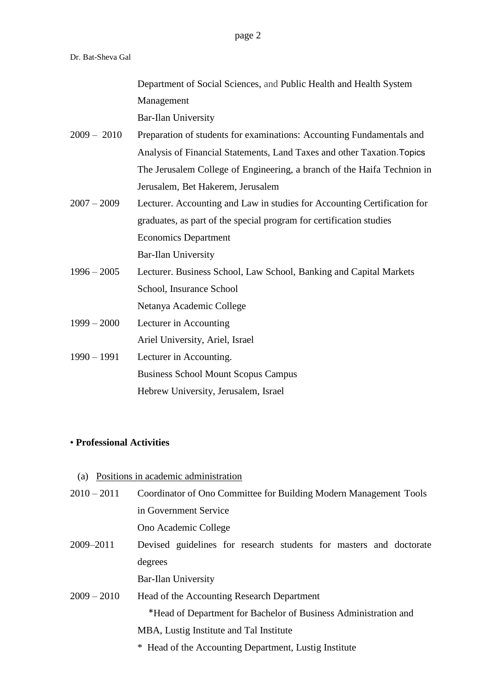[Department of Social Sciences,](http://meshulav.biu.ac.il/) and Public Health and Health System Management

Bar-Ilan University

- 2009 2010 Preparation of students for examinations: Accounting Fundamentals and Analysis of Financial Statements, Land Taxes and other Taxation.Topics The Jerusalem College of Engineering, a branch of the Haifa Technion in Jerusalem, Bet Hakerem, Jerusalem
- 2007 2009 Lecturer. Accounting and Law in studies for Accounting Certification for graduates, as part of the special program for certification studies Economics Department Bar-Ilan University
- 1996 2005 Lecturer. Business School, Law School, Banking and Capital Markets School, Insurance School Netanya Academic College
- 1999 2000 Lecturer in Accounting Ariel University, Ariel, Israel
- 1990 1991 Lecturer in Accounting. Business School Mount Scopus Campus Hebrew University, Jerusalem, Israel

### • **Professional Activities**

- (a) Positions in academic administration
- 2010 2011 Coordinator of Ono Committee for Building Modern Management Tools in Government Service

Ono Academic College

2009–2011 Devised guidelines for research students for masters and doctorate degrees

Bar-Ilan University

- 2009 2010 Head of the Accounting Research Department \*Head of Department for Bachelor of Business Administration and MBA, Lustig Institute and Tal Institute
	- \* Head of the Accounting Department, Lustig Institute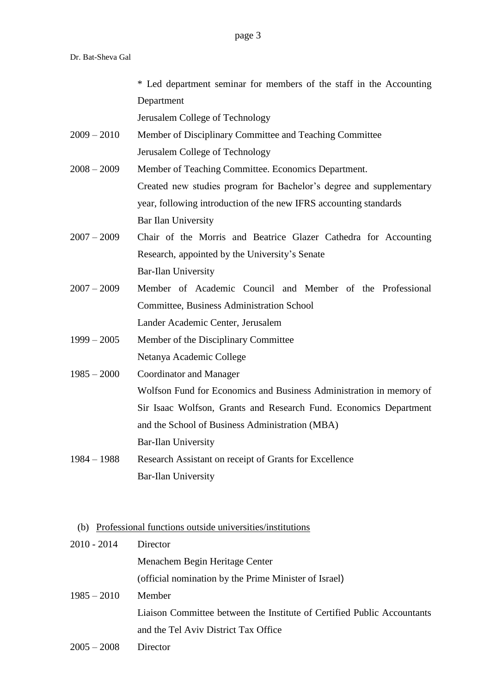|                                                                 | * Led department seminar for members of the staff in the Accounting |  |
|-----------------------------------------------------------------|---------------------------------------------------------------------|--|
|                                                                 | Department                                                          |  |
|                                                                 | Jerusalem College of Technology                                     |  |
| $2009 - 2010$                                                   | Member of Disciplinary Committee and Teaching Committee             |  |
|                                                                 | Jerusalem College of Technology                                     |  |
| $2008 - 2009$                                                   | Member of Teaching Committee. Economics Department.                 |  |
|                                                                 | Created new studies program for Bachelor's degree and supplementary |  |
|                                                                 | year, following introduction of the new IFRS accounting standards   |  |
|                                                                 | Bar Ilan University                                                 |  |
| $2007 - 2009$                                                   | Chair of the Morris and Beatrice Glazer Cathedra for Accounting     |  |
|                                                                 | Research, appointed by the University's Senate                      |  |
|                                                                 | <b>Bar-Ilan University</b>                                          |  |
| $2007 - 2009$                                                   | Member of Academic Council and Member of the Professional           |  |
|                                                                 | <b>Committee, Business Administration School</b>                    |  |
|                                                                 | Lander Academic Center, Jerusalem                                   |  |
| $1999 - 2005$                                                   | Member of the Disciplinary Committee                                |  |
|                                                                 | Netanya Academic College                                            |  |
| $1985 - 2000$                                                   | Coordinator and Manager                                             |  |
|                                                                 | Wolfson Fund for Economics and Business Administration in memory of |  |
|                                                                 | Sir Isaac Wolfson, Grants and Research Fund. Economics Department   |  |
|                                                                 | and the School of Business Administration (MBA)                     |  |
|                                                                 | Bar-Ilan University                                                 |  |
| $1984 - 1988$                                                   | Research Assistant on receipt of Grants for Excellence              |  |
|                                                                 | <b>Bar-Ilan University</b>                                          |  |
|                                                                 |                                                                     |  |
|                                                                 |                                                                     |  |
| Professional functions outside universities/institutions<br>(b) |                                                                     |  |
| $2010 - 2014$                                                   | Director                                                            |  |
|                                                                 | Menachem Begin Heritage Center                                      |  |
|                                                                 | (official nomination by the Prime Minister of Israel)               |  |

- 1985 2010 Member Liaison Committee between the Institute of Certified Public Accountants and the Tel Aviv District Tax Office
- 2005 2008 Director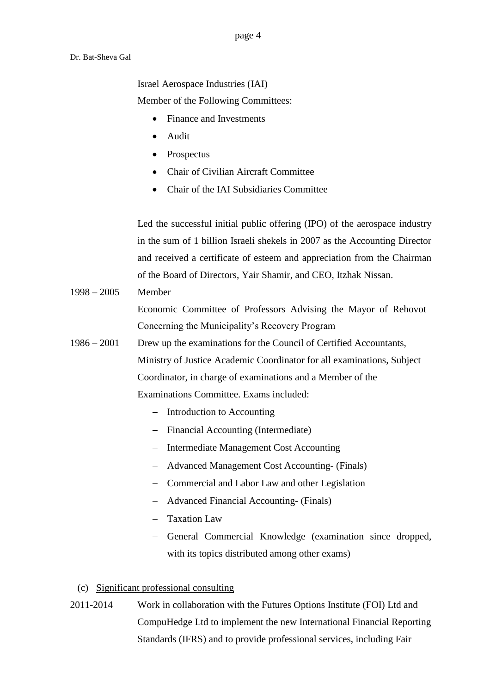page 4

Dr. Bat-Sheva Gal

Israel Aerospace Industries (IAI)

Member of the Following Committees:

- Finance and Investments
- Audit
- Prospectus
- Chair of Civilian Aircraft Committee
- Chair of the IAI Subsidiaries Committee

Led the successful initial public offering (IPO) of the aerospace industry in the sum of 1 billion Israeli shekels in 2007 as the Accounting Director and received a certificate of esteem and appreciation from the Chairman of the Board of Directors, Yair Shamir, and CEO, Itzhak Nissan.

1998 – 2005 Member

Economic Committee of Professors Advising the Mayor of Rehovot Concerning the Municipality's Recovery Program

- 1986 2001 Drew up the examinations for the Council of Certified Accountants, Ministry of Justice Academic Coordinator for all examinations, Subject Coordinator, in charge of examinations and a Member of the Examinations Committee. Exams included:
	- Introduction to Accounting
	- Financial Accounting (Intermediate)
	- Intermediate Management Cost Accounting
	- Advanced Management Cost Accounting- (Finals)
	- Commercial and Labor Law and other Legislation
	- Advanced Financial Accounting- (Finals)
	- Taxation Law
	- General Commercial Knowledge (examination since dropped, with its topics distributed among other exams)
	- (c) Significant professional consulting
- 2011-2014 Work in collaboration with the Futures Options Institute (FOI) Ltd and CompuHedge Ltd to implement the new International Financial Reporting Standards (IFRS) and to provide professional services, including Fair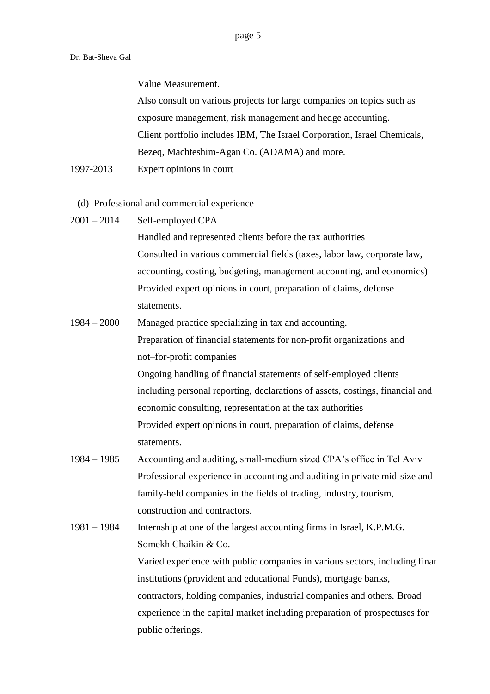Value Measurement.

Also consult on various projects for large companies on topics such as exposure management, risk management and hedge accounting. Client portfolio includes IBM, The Israel Corporation, Israel Chemicals, Bezeq, Machteshim-Agan Co. (ADAMA) and more.

1997-2013 Expert opinions in court

### (d) Professional and commercial experience

2001 – 2014 Self-employed CPA

Handled and represented clients before the tax authorities Consulted in various commercial fields (taxes, labor law, corporate law, accounting, costing, budgeting, management accounting, and economics) Provided expert opinions in court, preparation of claims, defense statements.

- 1984 2000 Managed practice specializing in tax and accounting. Preparation of financial statements for non-profit organizations and not–for-profit companies Ongoing handling of financial statements of self-employed clients including personal reporting, declarations of assets, costings, financial and economic consulting, representation at the tax authorities Provided expert opinions in court, preparation of claims, defense statements.
- 1984 1985 Accounting and auditing, small-medium sized CPA's office in Tel Aviv Professional experience in accounting and auditing in private mid-size and family-held companies in the fields of trading, industry, tourism, construction and contractors.
- 1981 1984 Internship at one of the largest accounting firms in Israel, K.P.M.G. Somekh Chaikin & Co. Varied experience with public companies in various sectors, including financial institutions (provident and educational Funds), mortgage banks, contractors, holding companies, industrial companies and others. Broad experience in the capital market including preparation of prospectuses for public offerings.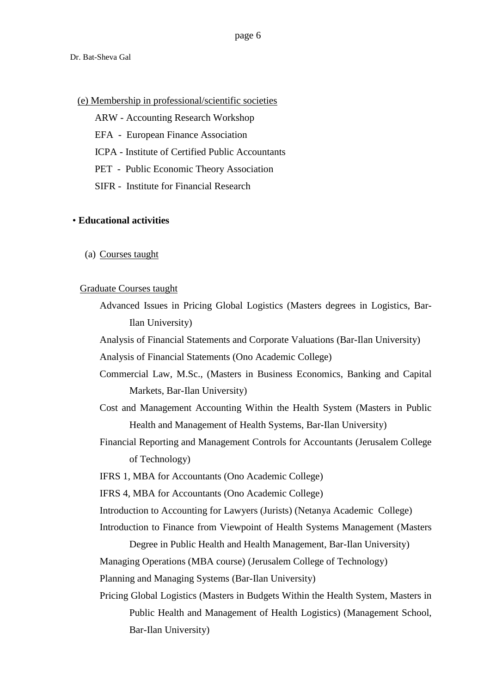#### (e) Membership in professional/scientific societies

- ARW Accounting Research Workshop
- EFA European Finance Association
- ICPA Institute of Certified Public Accountants
- PET Public Economic Theory Association
- SIFR Institute for Financial Research

#### • **Educational activities**

(a) Courses taught

#### Graduate Courses taught

Advanced Issues in Pricing Global Logistics (Masters degrees in Logistics, Bar-Ilan University)

Analysis of Financial Statements and Corporate Valuations (Bar-Ilan University)

Analysis of Financial Statements (Ono Academic College)

- Commercial Law, M.Sc., (Masters in Business Economics, Banking and Capital Markets, Bar-Ilan University)
- Cost and Management Accounting Within the Health System (Masters in Public Health and Management of Health Systems, Bar-Ilan University)
- Financial Reporting and Management Controls for Accountants (Jerusalem College of Technology)

IFRS 1, MBA for Accountants (Ono Academic College)

IFRS 4, MBA for Accountants (Ono Academic College)

Introduction to Accounting for Lawyers (Jurists) (Netanya Academic College)

Introduction to Finance from Viewpoint of Health Systems Management (Masters

Degree in Public Health and Health Management, Bar-Ilan University) Managing Operations (MBA course) (Jerusalem College of Technology) Planning and Managing Systems (Bar-Ilan University)

Pricing Global Logistics (Masters in Budgets Within the Health System, Masters in Public Health and Management of Health Logistics) (Management School, Bar-Ilan University)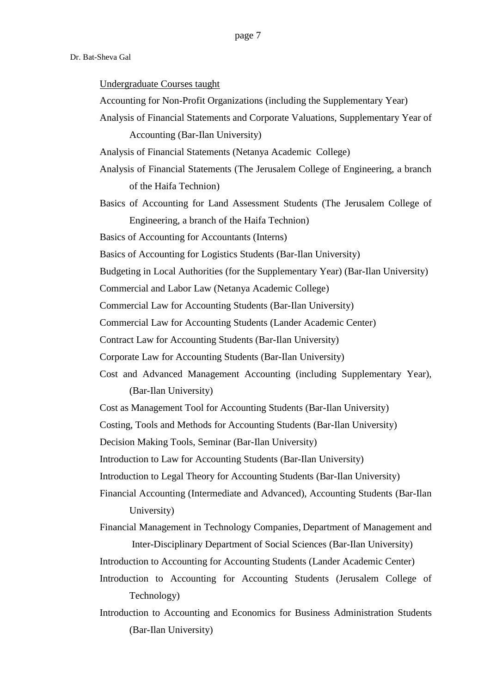#### Undergraduate Courses taught

- Accounting for Non-Profit Organizations (including the Supplementary Year)
- Analysis of Financial Statements and Corporate Valuations, Supplementary Year of

Accounting (Bar-Ilan University)

- Analysis of Financial Statements (Netanya Academic College)
- Analysis of Financial Statements (The Jerusalem College of Engineering, a branch of the Haifa Technion)
- Basics of Accounting for Land Assessment Students (The Jerusalem College of Engineering, a branch of the Haifa Technion)

Basics of Accounting for Accountants (Interns)

- Basics of Accounting for Logistics Students (Bar-Ilan University)
- Budgeting in Local Authorities (for the Supplementary Year) (Bar-Ilan University)
- Commercial and Labor Law (Netanya Academic College)

Commercial Law for Accounting Students (Bar-Ilan University)

Commercial Law for Accounting Students (Lander Academic Center)

Contract Law for Accounting Students (Bar-Ilan University)

Corporate Law for Accounting Students (Bar-Ilan University)

Cost and Advanced Management Accounting (including Supplementary Year), (Bar-Ilan University)

Cost as Management Tool for Accounting Students (Bar-Ilan University)

Costing, Tools and Methods for Accounting Students (Bar-Ilan University)

Decision Making Tools, Seminar (Bar-Ilan University)

Introduction to Law for Accounting Students (Bar-Ilan University)

Introduction to Legal Theory for Accounting Students (Bar-Ilan University)

Financial Accounting (Intermediate and Advanced), Accounting Students (Bar-Ilan University)

Financial Management in Technology Companies, [Department of Management](http://www.nihul.biu.ac.il/) and [Inter-Disciplinary Department of Social Sciences](http://meshulav.biu.ac.il/) (Bar-Ilan University)

- Introduction to Accounting for Accounting Students (Lander Academic Center)
- Introduction to Accounting for Accounting Students (Jerusalem College of Technology)
- Introduction to Accounting and Economics for Business Administration Students (Bar-Ilan University)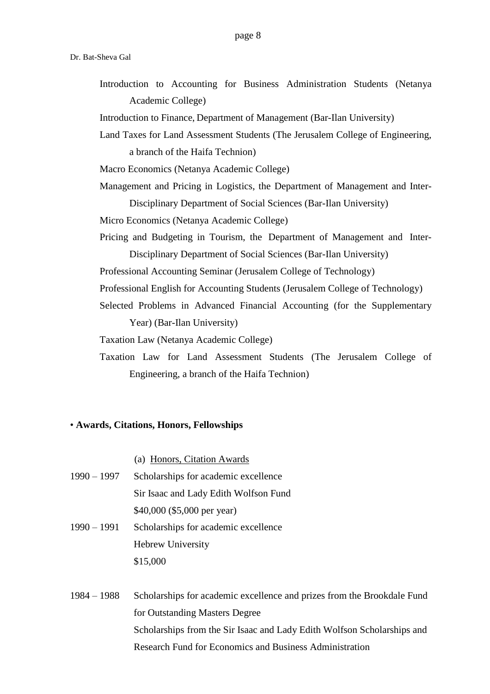Introduction to Accounting for Business Administration Students (Netanya Academic College)

Introduction to Finance, [Department of Management](http://www.nihul.biu.ac.il/) (Bar-Ilan University)

- Land Taxes for Land Assessment Students (The Jerusalem College of Engineering, a branch of the Haifa Technion)
- Macro Economics (Netanya Academic College)
- Management and Pricing in Logistics, the [Department of Management](http://www.nihul.biu.ac.il/) and [Inter-](http://meshulav.biu.ac.il/)[Disciplinary Department of Social Sciences](http://meshulav.biu.ac.il/) (Bar-Ilan University)
- Micro Economics (Netanya Academic College)
- Pricing and Budgeting in Tourism, the [Department of Management](http://www.nihul.biu.ac.il/) and [Inter-](http://meshulav.biu.ac.il/)[Disciplinary Department of Social Sciences](http://meshulav.biu.ac.il/) (Bar-Ilan University)
- Professional Accounting Seminar (Jerusalem College of Technology)
- Professional English for Accounting Students (Jerusalem College of Technology)
- Selected Problems in Advanced Financial Accounting (for the Supplementary Year) (Bar-Ilan University)
- Taxation Law (Netanya Academic College)
- Taxation Law for Land Assessment Students (The Jerusalem College of Engineering, a branch of the Haifa Technion)

#### • **Awards, Citations, Honors, Fellowships**

- (a) Honors, Citation Awards
- 1990 1997 Scholarships for academic excellence Sir Isaac and Lady Edith Wolfson Fund \$40,000 (\$5,000 per year)
- 1990 1991 Scholarships for academic excellence Hebrew University \$15,000
- 1984 1988 Scholarships for academic excellence and prizes from the Brookdale Fund for Outstanding Masters Degree Scholarships from the Sir Isaac and Lady Edith Wolfson Scholarships and Research Fund for Economics and Business Administration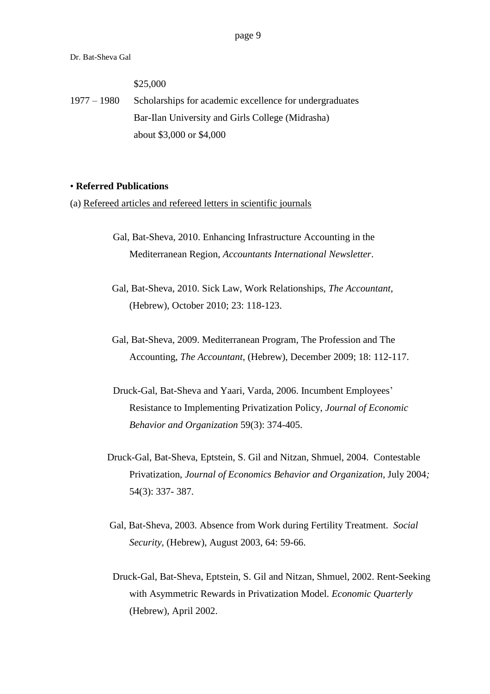\$25,000

1977 – 1980 Scholarships for academic excellence for undergraduates Bar-Ilan University and Girls College (Midrasha) about \$3,000 or \$4,000

#### • **Referred Publications**

(a) Refereed articles and refereed letters in scientific journals

- Gal, Bat-Sheva, 2010. Enhancing Infrastructure Accounting in the Mediterranean Region, *Accountants International Newsletter*.
- Gal, Bat-Sheva, 2010. Sick Law, Work Relationships, *The Accountant*, (Hebrew), October 2010; 23: 118-123.
- Gal, Bat-Sheva, 2009. Mediterranean Program, The Profession and The Accounting, *The Accountant*, (Hebrew), December 2009; 18: 112-117.
- Druck-Gal, Bat-Sheva and Yaari, Varda, 2006. Incumbent Employees' Resistance to Implementing Privatization Policy, *Journal of Economic Behavior and Organization* 59(3): 374-405.
- Druck-Gal, Bat-Sheva, Eptstein, S. Gil and Nitzan, Shmuel, 2004. Contestable Privatization, *Journal of Economics Behavior and Organization,* July 2004*;*  54(3): 337- 387.
- Gal, Bat-Sheva, 2003. Absence from Work during Fertility Treatment. *Social Security,* (Hebrew), August 2003, 64: 59-66.
- Druck-Gal, Bat-Sheva, Eptstein, S. Gil and Nitzan, Shmuel, 2002. Rent-Seeking with Asymmetric Rewards in Privatization Model. *Economic Quarterly*  (Hebrew), April 2002.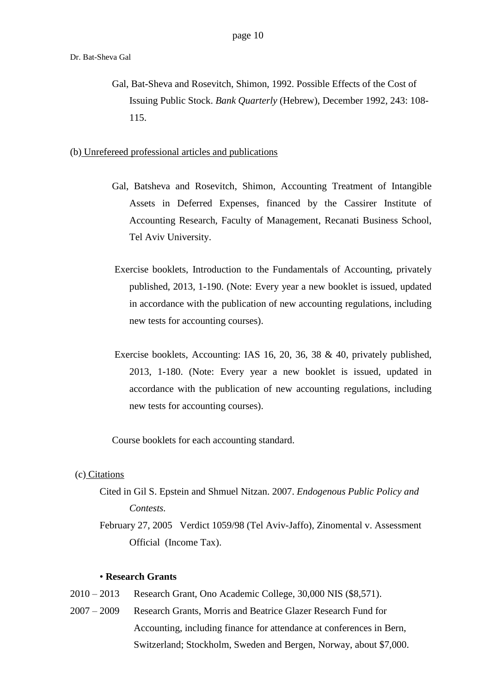Gal, Bat-Sheva and Rosevitch, Shimon, 1992. Possible Effects of the Cost of Issuing Public Stock. *Bank Quarterly* (Hebrew), December 1992, 243: 108- 115.

(b) Unrefereed professional articles and publications

- Gal, Batsheva and Rosevitch, Shimon, Accounting Treatment of Intangible Assets in Deferred Expenses, financed by the Cassirer Institute of Accounting Research, Faculty of Management, Recanati Business School, Tel Aviv University.
- Exercise booklets, Introduction to the Fundamentals of Accounting, privately published, 2013, 1-190. (Note: Every year a new booklet is issued, updated in accordance with the publication of new accounting regulations, including new tests for accounting courses).
- Exercise booklets, Accounting: IAS 16, 20, 36, 38 & 40, privately published, 2013, 1-180. (Note: Every year a new booklet is issued, updated in accordance with the publication of new accounting regulations, including new tests for accounting courses).

Course booklets for each accounting standard.

#### (c) Citations

- Cited in Gil S. Epstein and Shmuel Nitzan. 2007. *Endogenous Public Policy and Contests.*
- February 27, 2005 Verdict 1059/98 (Tel Aviv-Jaffo), Zinomental v. Assessment Official (Income Tax).

#### • **Research Grants**

- 2010 2013 Research Grant, Ono Academic College, 30,000 NIS (\$8,571).
- 2007 2009 Research Grants, Morris and Beatrice Glazer Research Fund for Accounting, including finance for attendance at conferences in Bern, Switzerland; Stockholm, Sweden and Bergen, Norway, about \$7,000.